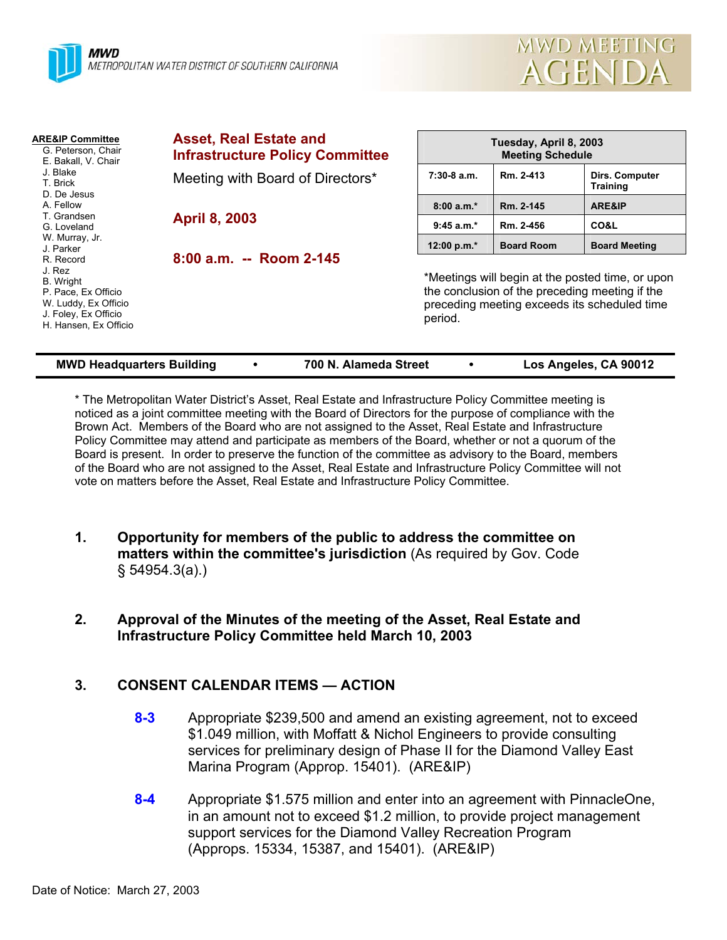



| <b>ARE&amp;IP Committee</b><br>G. Peterson, Chair<br>E. Bakall, V. Chair<br>J. Blake<br>T. Brick<br>D. De Jesus                         | <b>Asset, Real Estate and</b><br><b>Infrastructure Policy Committee</b> | Tuesday, April 8, 2003<br><b>Meeting Schedule</b>                                                                                                             |                   |                                   |  |
|-----------------------------------------------------------------------------------------------------------------------------------------|-------------------------------------------------------------------------|---------------------------------------------------------------------------------------------------------------------------------------------------------------|-------------------|-----------------------------------|--|
|                                                                                                                                         | Meeting with Board of Directors*                                        | $7:30-8$ a.m.                                                                                                                                                 | Rm. 2-413         | Dirs. Computer<br><b>Training</b> |  |
| A. Fellow                                                                                                                               |                                                                         | $8:00 a.m.*$                                                                                                                                                  | Rm. 2-145         | ARE&IP                            |  |
| T. Grandsen<br>G. Loveland                                                                                                              | <b>April 8, 2003</b>                                                    | $9:45$ a.m.*                                                                                                                                                  | Rm. 2-456         | CO&L                              |  |
| W. Murray, Jr.<br>J. Parker                                                                                                             |                                                                         | 12:00 p.m. $*$                                                                                                                                                | <b>Board Room</b> | <b>Board Meeting</b>              |  |
| R. Record<br>J. Rez<br><b>B.</b> Wright<br>P. Pace, Ex Officio<br>W. Luddy, Ex Officio<br>J. Foley, Ex Officio<br>H. Hansen, Ex Officio | 8:00 a.m. -- Room 2-145                                                 | *Meetings will begin at the posted time, or upon<br>the conclusion of the preceding meeting if the<br>preceding meeting exceeds its scheduled time<br>period. |                   |                                   |  |

| <b>MWD Headquarters Building</b> |  | 700 N. Alameda Street |  | Los Angeles, CA 90012 |
|----------------------------------|--|-----------------------|--|-----------------------|
|----------------------------------|--|-----------------------|--|-----------------------|

\* The Metropolitan Water District's Asset, Real Estate and Infrastructure Policy Committee meeting is noticed as a joint committee meeting with the Board of Directors for the purpose of compliance with the Brown Act. Members of the Board who are not assigned to the Asset, Real Estate and Infrastructure Policy Committee may attend and participate as members of the Board, whether or not a quorum of the Board is present. In order to preserve the function of the committee as advisory to the Board, members of the Board who are not assigned to the Asset, Real Estate and Infrastructure Policy Committee will not vote on matters before the Asset, Real Estate and Infrastructure Policy Committee.

- **1. Opportunity for members of the public to address the committee on matters within the committee's jurisdiction** (As required by Gov. Code § 54954.3(a).)
- **2. Approval of the Minutes of the meeting of the Asset, Real Estate and Infrastructure Policy Committee held March 10, 2003**

# **3. CONSENT CALENDAR ITEMS — ACTION**

- **8-3** Appropriate \$239,500 and amend an existing agreement, not to exceed \$1.049 million, with Moffatt & Nichol Engineers to provide consulting services for preliminary design of Phase II for the Diamond Valley East Marina Program (Approp. 15401). (ARE&IP)
- **8-4** Appropriate \$1.575 million and enter into an agreement with PinnacleOne, in an amount not to exceed \$1.2 million, to provide project management support services for the Diamond Valley Recreation Program (Approps. 15334, 15387, and 15401). (ARE&IP)